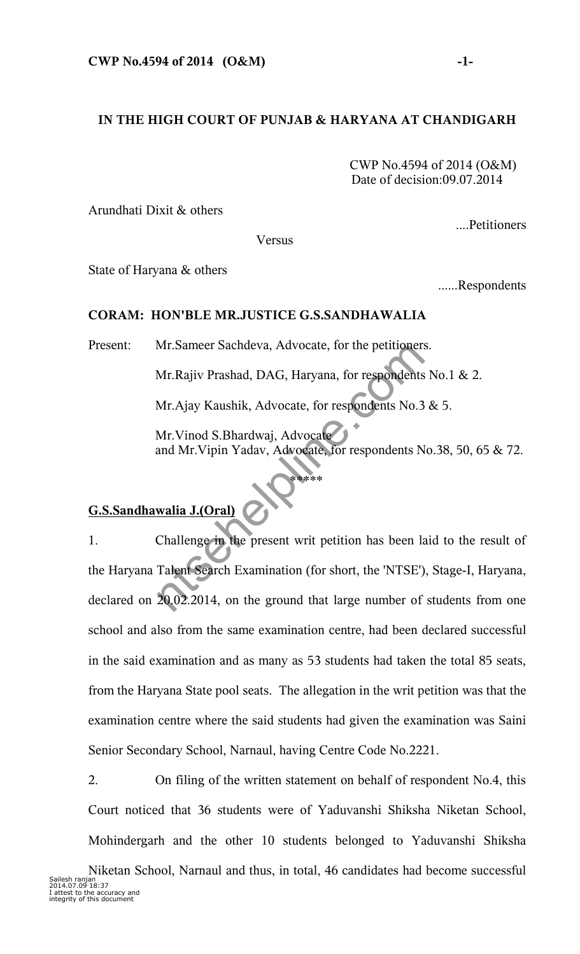## **IN THE HIGH COURT OF PUNJAB & HARYANA AT CHANDIGARH**

 CWP No.4594 of 2014 (O&M) Date of decision:09.07.2014

Arundhati Dixit & others

Versus

State of Haryana & others

......Respondents

....Petitioners

## **CORAM: HON'BLE MR.JUSTICE G.S.SANDHAWALIA**

Present: Mr.Sameer Sachdeva, Advocate, for the petitioners.

Mr.Rajiv Prashad, DAG, Haryana, for respondents No.1 & 2.

Mr.Ajay Kaushik, Advocate, for respondents No.3 & 5.

\*\*\*\*\*

Mr.Vinod S.Bhardwaj, Advocate and Mr.Vipin Yadav, Advocate, for respondents No.38, 50, 65 & 72.

## **G.S.Sandhawalia J.(Oral)**

1. Challenge in the present writ petition has been laid to the result of the Haryana Talent Search Examination (for short, the 'NTSE'), Stage-I, Haryana, declared on 20.02.2014, on the ground that large number of students from one school and also from the same examination centre, had been declared successful in the said examination and as many as 53 students had taken the total 85 seats, from the Haryana State pool seats. The allegation in the writ petition was that the examination centre where the said students had given the examination was Saini Senior Secondary School, Narnaul, having Centre Code No.2221. Mr.Sameer Sachdeva, Advocate, for the petitioners<br>Mr.Rajiv Prashad, DAG, Haryana, for respondents<br>Mr.Ajay Kaushik, Advocate, for respondents No.3<br>Mr.Vinod S.Bhardwaj, Advocate, for respondents N<br>and Mr.Vipin Yadav, Advocat

2. On filing of the written statement on behalf of respondent No.4, this Court noticed that 36 students were of Yaduvanshi Shiksha Niketan School, Mohindergarh and the other 10 students belonged to Yaduvanshi Shiksha

Niketan School, Narnaul and thus, in total, 46 candidates had become successful<br>Sailesh ranian Sailesh ranjan 2014.07.09 18:37 I attest to the accuracy and integrity of this document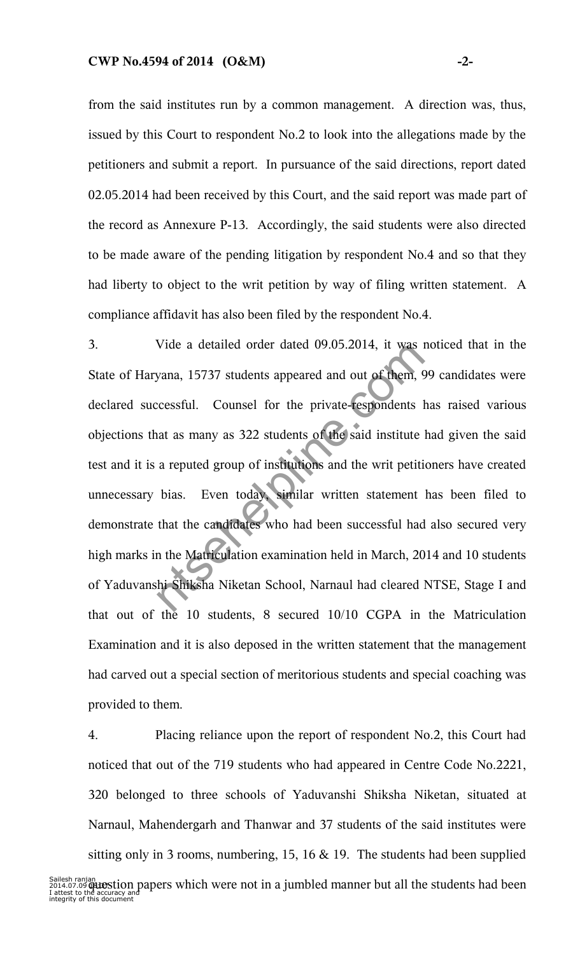from the said institutes run by a common management. A direction was, thus, issued by this Court to respondent No.2 to look into the allegations made by the petitioners and submit a report. In pursuance of the said directions, report dated 02.05.2014 had been received by this Court, and the said report was made part of the record as Annexure P-13. Accordingly, the said students were also directed to be made aware of the pending litigation by respondent No.4 and so that they had liberty to object to the writ petition by way of filing written statement. A compliance affidavit has also been filed by the respondent No.4.

3. Vide a detailed order dated 09.05.2014, it was noticed that in the State of Haryana, 15737 students appeared and out of them, 99 candidates were declared successful. Counsel for the private-respondents has raised various objections that as many as 322 students of the said institute had given the said test and it is a reputed group of institutions and the writ petitioners have created unnecessary bias. Even today, similar written statement has been filed to demonstrate that the candidates who had been successful had also secured very high marks in the Matriculation examination held in March, 2014 and 10 students of Yaduvanshi Shiksha Niketan School, Narnaul had cleared NTSE, Stage I and that out of the 10 students, 8 secured 10/10 CGPA in the Matriculation Examination and it is also deposed in the written statement that the management had carved out a special section of meritorious students and special coaching was provided to them. vide a detailed order dated 09.05.2014, it was in<br>yana, 15737 students appeared and out of them, 9<br>ccessful. Counsel for the private-tespondents l<br>at as many as 322 students of the said institute<br>a reputed group of institu

4. Placing reliance upon the report of respondent No.2, this Court had noticed that out of the 719 students who had appeared in Centre Code No.2221, 320 belonged to three schools of Yaduvanshi Shiksha Niketan, situated at Narnaul, Mahendergarh and Thanwar and 37 students of the said institutes were sitting only in 3 rooms, numbering, 15, 16 & 19. The students had been supplied

Sailesh ranjan<br>2014.07.0**9 (BuOStion papers which were not in a jumbled manner but all the students had been**<br>I attest to the accuracy and<br>integrity of this document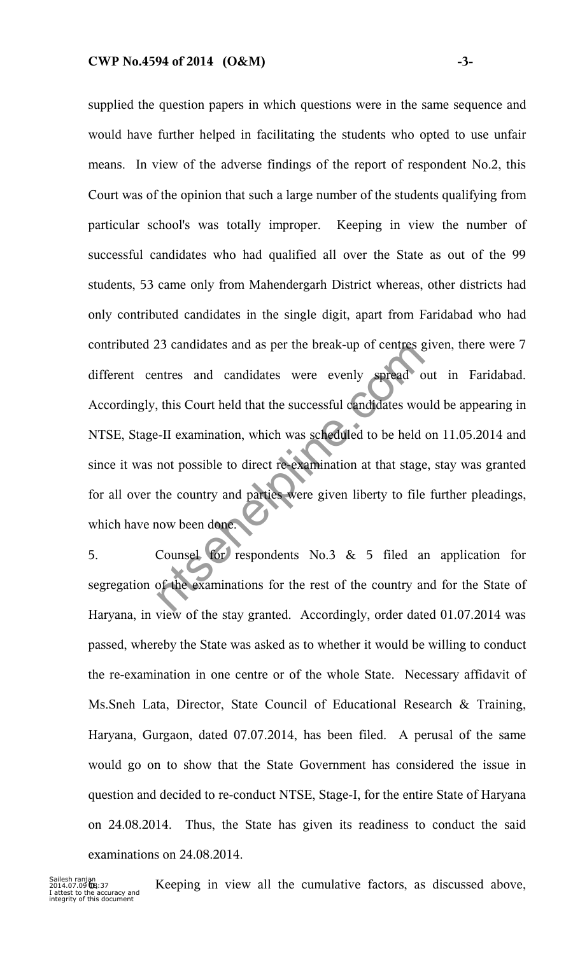supplied the question papers in which questions were in the same sequence and would have further helped in facilitating the students who opted to use unfair means. In view of the adverse findings of the report of respondent No.2, this Court was of the opinion that such a large number of the students qualifying from particular school's was totally improper. Keeping in view the number of successful candidates who had qualified all over the State as out of the 99 students, 53 came only from Mahendergarh District whereas, other districts had only contributed candidates in the single digit, apart from Faridabad who had contributed 23 candidates and as per the break-up of centres given, there were 7 different centres and candidates were evenly spread out in Faridabad. Accordingly, this Court held that the successful candidates would be appearing in NTSE, Stage-II examination, which was scheduled to be held on 11.05.2014 and since it was not possible to direct re-examination at that stage, stay was granted for all over the country and parties were given liberty to file further pleadings, which have now been done. 25 candidates and as per the break-up or centres gent<br>tres and candidates were evenly spread of<br>this Court held that the successful candidates word<br>.-II examination, which was scheduled to be held<br>not possible to direct r

5. Counsel for respondents No.3 & 5 filed an application for segregation of the examinations for the rest of the country and for the State of Haryana, in view of the stay granted. Accordingly, order dated 01.07.2014 was passed, whereby the State was asked as to whether it would be willing to conduct the re-examination in one centre or of the whole State. Necessary affidavit of Ms.Sneh Lata, Director, State Council of Educational Research & Training, Haryana, Gurgaon, dated 07.07.2014, has been filed. A perusal of the same would go on to show that the State Government has considered the issue in question and decided to re-conduct NTSE, Stage-I, for the entire State of Haryana on 24.08.2014. Thus, the State has given its readiness to conduct the said examinations on 24.08.2014.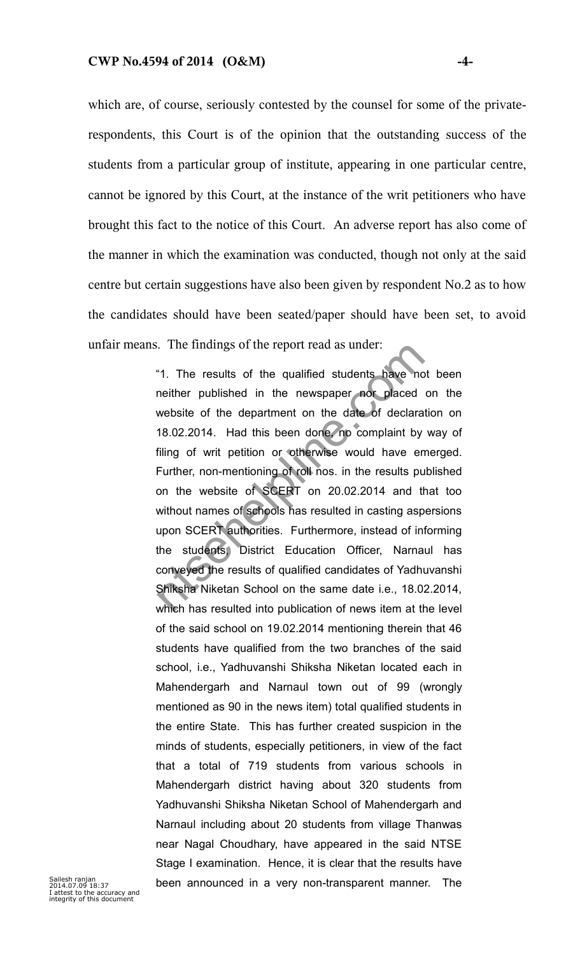which are, of course, seriously contested by the counsel for some of the privaterespondents, this Court is of the opinion that the outstanding success of the students from a particular group of institute, appearing in one particular centre, cannot be ignored by this Court, at the instance of the writ petitioners who have brought this fact to the notice of this Court. An adverse report has also come of the manner in which the examination was conducted, though not only at the said centre but certain suggestions have also been given by respondent No.2 as to how the candidates should have been seated/paper should have been set, to avoid unfair means. The findings of the report read as under:

"1. The results of the qualified students have not been neither published in the newspaper nor placed on the website of the department on the date of declaration on 18.02.2014. Had this been done, no complaint by way of filing of writ petition or otherwise would have emerged. Further, non-mentioning of roll nos. in the results published on the website of SCERT on 20.02.2014 and that too without names of schools has resulted in casting aspersions upon SCERT authorities. Furthermore, instead of informing the students, District Education Officer, Narnaul has conveyed the results of qualified candidates of Yadhuvanshi Shiksha Niketan School on the same date i.e., 18.02.2014, which has resulted into publication of news item at the level of the said school on 19.02.2014 mentioning therein that 46 students have qualified from the two branches of the said school, i.e., Yadhuvanshi Shiksha Niketan located each in Mahendergarh and Narnaul town out of 99 (wrongly mentioned as 90 in the news item) total qualified students in the entire State. This has further created suspicion in the minds of students, especially petitioners, in view of the fact that a total of 719 students from various schools in Mahendergarh district having about 320 students from Yadhuvanshi Shiksha Niketan School of Mahendergarh and Narnaul including about 20 students from village Thanwas near Nagal Choudhary, have appeared in the said NTSE Stage I examination. Hence, it is clear that the results have been announced in a very non-transparent manner. The .. The maings of the report read as under:<br>"1. The results of the qualified students have no<br>neither published in the newspaper not placed<br>website of the department on the date of declara<br>18.02.2014. Had this been done, no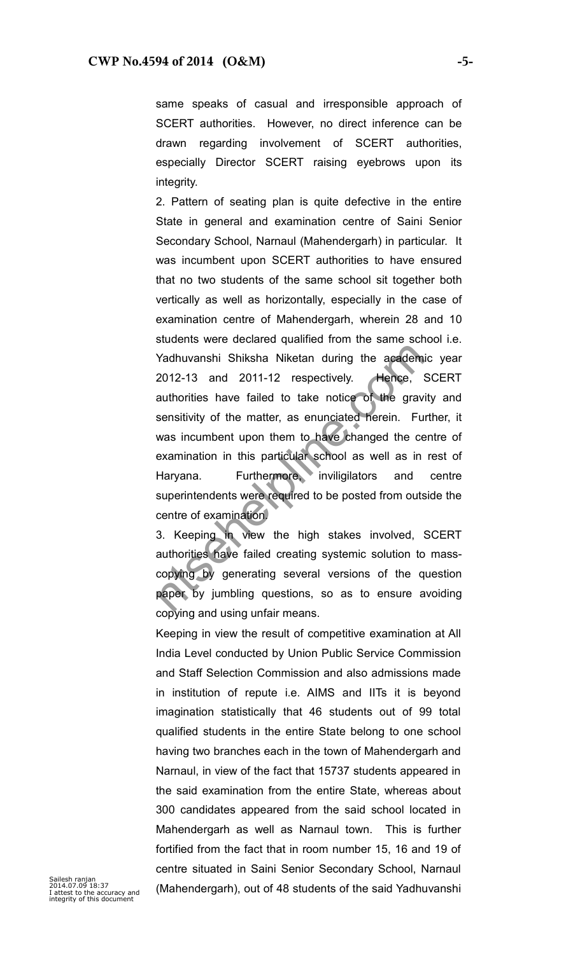same speaks of casual and irresponsible approach of SCERT authorities. However, no direct inference can be drawn regarding involvement of SCERT authorities, especially Director SCERT raising eyebrows upon its integrity.

2. Pattern of seating plan is quite defective in the entire State in general and examination centre of Saini Senior Secondary School, Narnaul (Mahendergarh) in particular. It was incumbent upon SCERT authorities to have ensured that no two students of the same school sit together both vertically as well as horizontally, especially in the case of examination centre of Mahendergarh, wherein 28 and 10 students were declared qualified from the same school i.e. Yadhuvanshi Shiksha Niketan during the academic year 2012-13 and 2011-12 respectively. Hence, SCERT authorities have failed to take notice of the gravity and sensitivity of the matter, as enunciated herein. Further, it was incumbent upon them to have changed the centre of examination in this particular school as well as in rest of Haryana. Furthermore, inviligilators and centre superintendents were required to be posted from outside the centre of examination. Yadhuvanshi Shiksha Niketan during the academ<br>2012-13 and 2011-12 respectively. Hence, stauthorities have failed to take notice of the grav<br>sensitivity of the matter, as enunciated herein. Furthers incumbent upon them to h

3. Keeping in view the high stakes involved, SCERT authorities have failed creating systemic solution to masscopying by generating several versions of the question paper by jumbling questions, so as to ensure avoiding copying and using unfair means.

Keeping in view the result of competitive examination at All India Level conducted by Union Public Service Commission and Staff Selection Commission and also admissions made in institution of repute i.e. AIMS and IITs it is beyond imagination statistically that 46 students out of 99 total qualified students in the entire State belong to one school having two branches each in the town of Mahendergarh and Narnaul, in view of the fact that 15737 students appeared in the said examination from the entire State, whereas about 300 candidates appeared from the said school located in Mahendergarh as well as Narnaul town. This is further fortified from the fact that in room number 15, 16 and 19 of centre situated in Saini Senior Secondary School, Narnaul (Mahendergarh), out of 48 students of the said Yadhuvanshi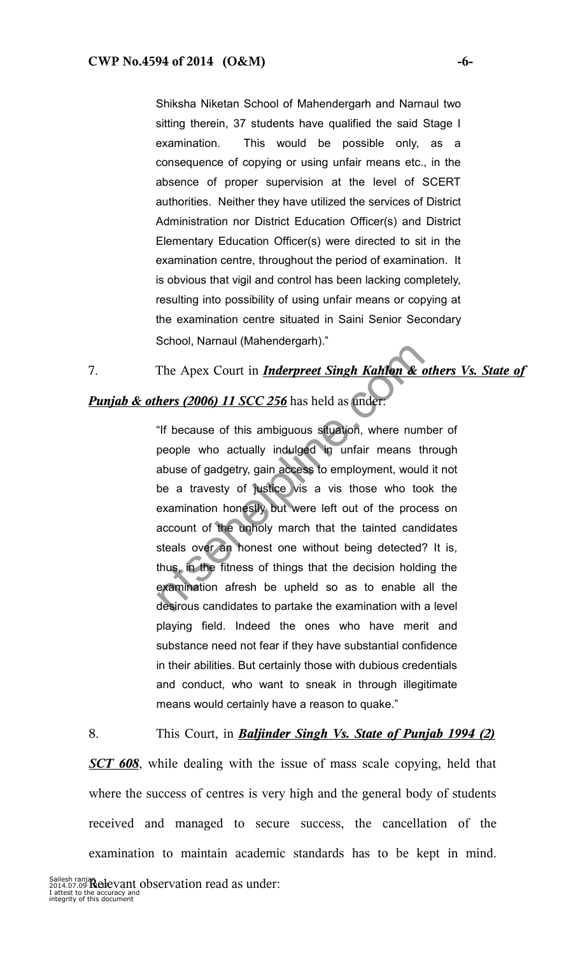Shiksha Niketan School of Mahendergarh and Narnaul two sitting therein, 37 students have qualified the said Stage I examination. This would be possible only, as a consequence of copying or using unfair means etc., in the absence of proper supervision at the level of SCERT authorities. Neither they have utilized the services of District Administration nor District Education Officer(s) and District Elementary Education Officer(s) were directed to sit in the examination centre, throughout the period of examination. It is obvious that vigil and control has been lacking completely, resulting into possibility of using unfair means or copying at the examination centre situated in Saini Senior Secondary School, Narnaul (Mahendergarh)."

7. The Apex Court in *Inderpreet Singh Kahlon & others Vs. State of*

## *Punjab & others (2006) 11 SCC 256* has held as under:

"If because of this ambiguous situation, where number of people who actually indulged in unfair means through abuse of gadgetry, gain access to employment, would it not be a travesty of justice vis a vis those who took the examination honestly but were left out of the process on account of the unholy march that the tainted candidates steals over an honest one without being detected? It is, thus, in the fitness of things that the decision holding the examination afresh be upheld so as to enable all the desirous candidates to partake the examination with a level playing field. Indeed the ones who have merit and substance need not fear if they have substantial confidence in their abilities. But certainly those with dubious credentials and conduct, who want to sneak in through illegitimate means would certainly have a reason to quake." The Apex Court in *Inderpreet Singh Kahlon & d*<br> **hers (2006) 11 SCC 256** has held as under.<br>
"If because of this ambiguous situation, where num<br>
people who actually indulged in unfair means the<br>
abuse of gadgetry, gain ac

8. This Court, in *Baljinder Singh Vs. State of Punjab 1994 (2)*

*SCT 608*, while dealing with the issue of mass scale copying, held that where the success of centres is very high and the general body of students received and managed to secure success, the cancellation of the examination to maintain academic standards has to be kept in mind.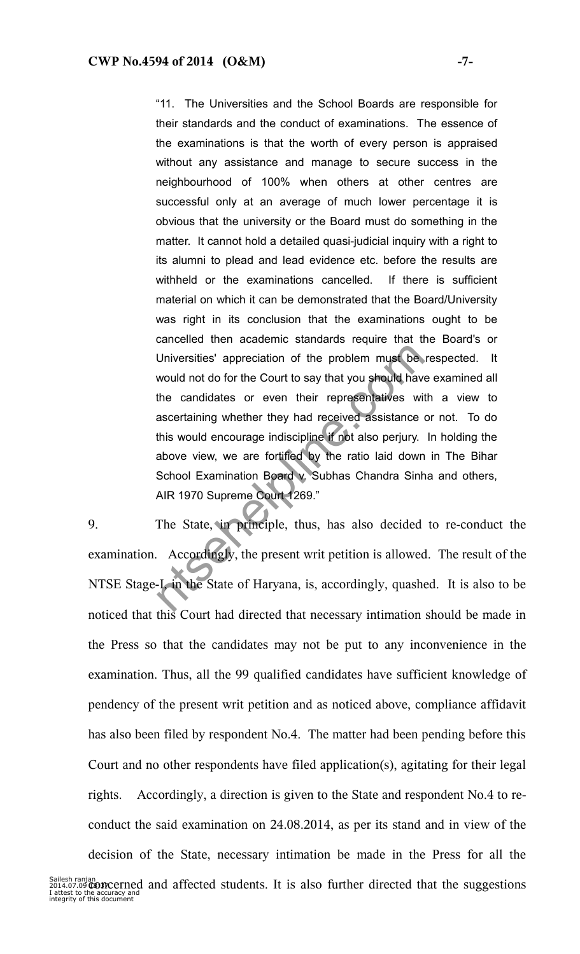"11. The Universities and the School Boards are responsible for their standards and the conduct of examinations. The essence of the examinations is that the worth of every person is appraised without any assistance and manage to secure success in the neighbourhood of 100% when others at other centres are successful only at an average of much lower percentage it is obvious that the university or the Board must do something in the matter. It cannot hold a detailed quasi-judicial inquiry with a right to its alumni to plead and lead evidence etc. before the results are withheld or the examinations cancelled. If there is sufficient material on which it can be demonstrated that the Board/University was right in its conclusion that the examinations ought to be cancelled then academic standards require that the Board's or Universities' appreciation of the problem must be respected. It would not do for the Court to say that you should have examined all the candidates or even their representatives with a view to ascertaining whether they had received assistance or not. To do this would encourage indiscipline if not also perjury. In holding the above view, we are fortified by the ratio laid down in The Bihar School Examination Board v. Subhas Chandra Sinha and others, AIR 1970 Supreme Court 1269." Universities' appreciation of the problem must be<br>would not do for the Court to say that you should have<br>the candidates or even their representatives with<br>ascertaining whether they had received assistance is<br>this would enc

9. The State, in principle, thus, has also decided to re-conduct the examination. Accordingly, the present writ petition is allowed. The result of the NTSE Stage-I, in the State of Haryana, is, accordingly, quashed. It is also to be noticed that this Court had directed that necessary intimation should be made in the Press so that the candidates may not be put to any inconvenience in the examination. Thus, all the 99 qualified candidates have sufficient knowledge of pendency of the present writ petition and as noticed above, compliance affidavit has also been filed by respondent No.4. The matter had been pending before this Court and no other respondents have filed application(s), agitating for their legal rights. Accordingly, a direction is given to the State and respondent No.4 to reconduct the said examination on 24.08.2014, as per its stand and in view of the

decision of the State, necessary intimation be made in the Press for all the Sailesh ranjan<br>2014.07.0**9 060 DECETNE description**<br>I attest to the accuracy and<br>integrity of this document